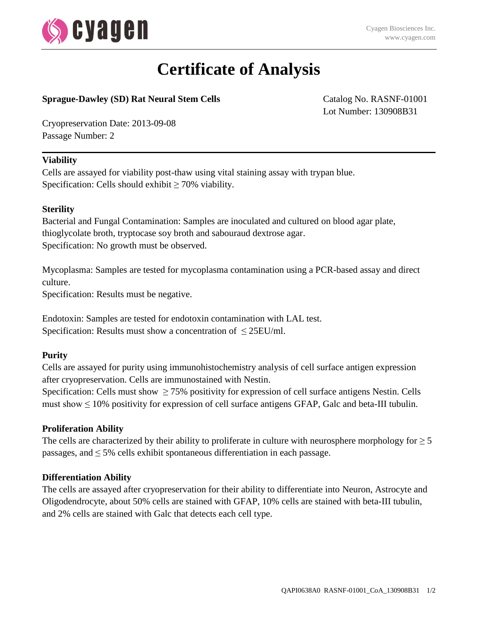

# **Certificate of Analysis**

### **Sprague-Dawley (SD) Rat Neural Stem Cells** Catalog No. RASNF-01001

Lot Number: 130908B31

Cryopreservation Date: 2013-09-08 Passage Number: 2

#### **Viability**

Cells are assayed for viability post-thaw using vital staining assay with trypan blue. Specification: Cells should exhibit  $\geq 70\%$  viability.

#### **Sterility**

Bacterial and Fungal Contamination: Samples are inoculated and cultured on blood agar plate, thioglycolate broth, tryptocase soy broth and sabouraud dextrose agar. Specification: No growth must be observed.

Mycoplasma: Samples are tested for mycoplasma contamination using a PCR-based assay and direct culture.

Specification: Results must be negative.

Endotoxin: Samples are tested for endotoxin contamination with LAL test. Specification: Results must show a concentration of  $\leq$  25EU/ml.

#### **Purity**

Cells are assayed for purity using immunohistochemistry analysis of cell surface antigen expression after cryopreservation. Cells are immunostained with Nestin.

Specification: Cells must show  $\geq$  75% positivity for expression of cell surface antigens Nestin. Cells must show  $\leq 10\%$  positivity for expression of cell surface antigens GFAP, Galc and beta-III tubulin.

#### **Proliferation Ability**

The cells are characterized by their ability to proliferate in culture with neurosphere morphology for  $\geq 5$ passages, and  $\leq$  5% cells exhibit spontaneous differentiation in each passage.

#### **Differentiation Ability**

The cells are assayed after cryopreservation for their ability to differentiate into Neuron, Astrocyte and Oligodendrocyte, about 50% cells are stained with GFAP, 10% cells are stained with beta-III tubulin, and 2% cells are stained with Galc that detects each cell type.